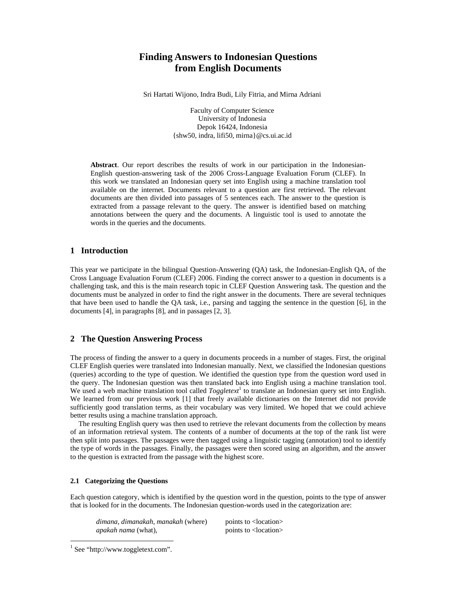# **Finding Answers to Indonesian Questions from English Documents**

Sri Hartati Wijono, Indra Budi, Lily Fitria, and Mirna Adriani

Faculty of Computer Science University of Indonesia Depok 16424, Indonesia {shw50, indra, lifi50, mirna}@cs.ui.ac.id

**Abstract**. Our report describes the results of work in our participation in the Indonesian-English question-answering task of the 2006 Cross-Language Evaluation Forum (CLEF). In this work we translated an Indonesian query set into English using a machine translation tool available on the internet*.* Documents relevant to a question are first retrieved. The relevant documents are then divided into passages of 5 sentences each. The answer to the question is extracted from a passage relevant to the query. The answer is identified based on matching annotations between the query and the documents. A linguistic tool is used to annotate the words in the queries and the documents.

### **1 Introduction**

This year we participate in the bilingual Question-Answering (QA) task, the Indonesian-English QA, of the Cross Language Evaluation Forum (CLEF) 2006. Finding the correct answer to a question in documents is a challenging task, and this is the main research topic in CLEF Question Answering task. The question and the documents must be analyzed in order to find the right answer in the documents. There are several techniques that have been used to handle the QA task, i.e., parsing and tagging the sentence in the question [6], in the documents [4], in paragraphs [8], and in passages [2, 3].

# **2 The Question Answering Process**

The process of finding the answer to a query in documents proceeds in a number of stages. First, the original CLEF English queries were translated into Indonesian manually. Next, we classified the Indonesian questions (queries) according to the type of question. We identified the question type from the question word used in the query. The Indonesian question was then translated back into English using a machine translation tool. We used a web machine translation tool called *Toggletext*<sup>1</sup> to translate an Indonesian query set into English. We learned from our previous work [1] that freely available dictionaries on the Internet did not provide sufficiently good translation terms, as their vocabulary was very limited. We hoped that we could achieve better results using a machine translation approach.

The resulting English query was then used to retrieve the relevant documents from the collection by means of an information retrieval system. The contents of a number of documents at the top of the rank list were then split into passages. The passages were then tagged using a linguistic tagging (annotation) tool to identify the type of words in the passages. Finally, the passages were then scored using an algorithm, and the answer to the question is extracted from the passage with the highest score.

#### **2.1 Categorizing the Questions**

Each question category, which is identified by the question word in the question, points to the type of answer that is looked for in the documents. The Indonesian question-words used in the categorization are:

*dimana, dimanakah, manakah* (where) points to <location> *apakah nama* (what), points to <location>

<sup>1</sup> See "http://www.toggletext.com".

-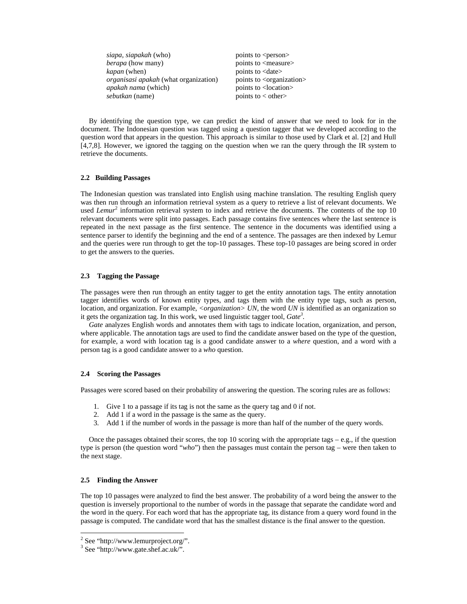*siapa, siapakah* (who) points to <person> *berapa* (how many) points to <measure> *kapan* (when) points to <date> *organisasi apakah* (what organization) points to <organization> *apakah nama* (which) points to <location> *sebutkan* (name) points to < other>

By identifying the question type, we can predict the kind of answer that we need to look for in the document. The Indonesian question was tagged using a question tagger that we developed according to the question word that appears in the question. This approach is similar to those used by Clark et al. [2] and Hull [4,7,8]. However, we ignored the tagging on the question when we ran the query through the IR system to retrieve the documents.

### **2.2 Building Passages**

The Indonesian question was translated into English using machine translation. The resulting English query was then run through an information retrieval system as a query to retrieve a list of relevant documents. We used *Lemur*<sup>2</sup> information retrieval system to index and retrieve the documents. The contents of the top 10 relevant documents were split into passages. Each passage contains five sentences where the last sentence is repeated in the next passage as the first sentence. The sentence in the documents was identified using a sentence parser to identify the beginning and the end of a sentence. The passages are then indexed by Lemur and the queries were run through to get the top-10 passages. These top-10 passages are being scored in order to get the answers to the queries.

### **2.3 Tagging the Passage**

The passages were then run through an entity tagger to get the entity annotation tags. The entity annotation tagger identifies words of known entity types, and tags them with the entity type tags, such as person, location, and organization. For example, *<organization> UN*, the word *UN* is identified as an organization so it gets the organization tag. In this work, we used linguistic tagger tool,  $Gate^3$ .

*Gate* analyzes English words and annotates them with tags to indicate location, organization, and person, where applicable. The annotation tags are used to find the candidate answer based on the type of the question, for example, a word with location tag is a good candidate answer to a *where* question, and a word with a person tag is a good candidate answer to a *who* question.

#### **2.4 Scoring the Passages**

Passages were scored based on their probability of answering the question. The scoring rules are as follows:

- 1. Give 1 to a passage if its tag is not the same as the query tag and 0 if not.
- 2. Add 1 if a word in the passage is the same as the query.
- 3. Add 1 if the number of words in the passage is more than half of the number of the query words.

Once the passages obtained their scores, the top 10 scoring with the appropriate tags  $-e.g.,$  if the question type is person (the question word "*who*") then the passages must contain the person tag – were then taken to the next stage.

### **2.5 Finding the Answer**

 $\overline{a}$ 

The top 10 passages were analyzed to find the best answer. The probability of a word being the answer to the question is inversely proportional to the number of words in the passage that separate the candidate word and the word in the query. For each word that has the appropriate tag, its distance from a query word found in the passage is computed. The candidate word that has the smallest distance is the final answer to the question.

 $2$  See "http://www.lemurproject.org/".

<sup>3</sup> See "http://www.gate.shef.ac.uk/".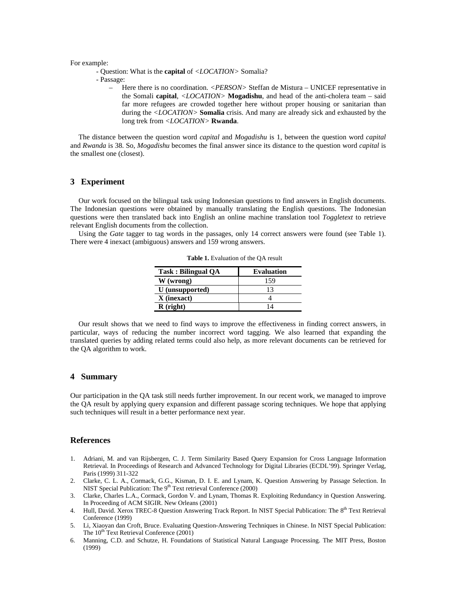For example:

- Question: What is the **capital** of *<LOCATION>* Somalia?
- Passage:
	- Here there is no coordination. *<PERSON>* Steffan de Mistura UNICEF representative in the Somali **capital**, *<LOCATION>* **Mogadishu**, and head of the anti-cholera team – said far more refugees are crowded together here without proper housing or sanitarian than during the *<LOCATION>* **Somalia** crisis. And many are already sick and exhausted by the long trek from *<LOCATION>* **Rwanda**.

The distance between the question word *capital* and *Mogadishu* is 1, between the question word *capital*  and *Rwanda* is 38. So, *Mogadishu* becomes the final answer since its distance to the question word *capital* is the smallest one (closest).

### **3 Experiment**

Our work focused on the bilingual task using Indonesian questions to find answers in English documents. The Indonesian questions were obtained by manually translating the English questions. The Indonesian questions were then translated back into English an online machine translation tool *Toggletext* to retrieve relevant English documents from the collection.

Using the *Gate* tagger to tag words in the passages, only 14 correct answers were found (see Table 1). There were 4 inexact (ambiguous) answers and 159 wrong answers.

| <b>Table 1.</b> Evaluation of the QA result |  |  |  |  |
|---------------------------------------------|--|--|--|--|
|---------------------------------------------|--|--|--|--|

| Task: Bilingual QA     | <b>Evaluation</b> |  |
|------------------------|-------------------|--|
| W (wrong)              | 159               |  |
| <b>U</b> (unsupported) |                   |  |
| X (inexact)            |                   |  |
| $R$ (right)            | 14                |  |

Our result shows that we need to find ways to improve the effectiveness in finding correct answers, in particular, ways of reducing the number incorrect word tagging. We also learned that expanding the translated queries by adding related terms could also help, as more relevant documents can be retrieved for the QA algorithm to work.

# **4 Summary**

Our participation in the QA task still needs further improvement. In our recent work, we managed to improve the QA result by applying query expansion and different passage scoring techniques. We hope that applying such techniques will result in a better performance next year.

# **References**

- 1. Adriani, M. and van Rijsbergen, C. J. Term Similarity Based Query Expansion for Cross Language Information Retrieval. In Proceedings of Research and Advanced Technology for Digital Libraries (ECDL'99). Springer Verlag, Paris (1999) 311-322
- 2. Clarke, C. L. A., Cormack, G.G., Kisman, D. I. E. and Lynam, K. Question Answering by Passage Selection. In NIST Special Publication: The 9<sup>th</sup> Text retrieval Conference (2000)
- 3. Clarke, Charles L.A., Cormack, Gordon V. and Lynam, Thomas R. Exploiting Redundancy in Question Answering. In Proceeding of ACM SIGIR. New Orleans (2001)
- 4. Hull, David. Xerox TREC-8 Question Answering Track Report. In NIST Special Publication: The 8<sup>th</sup> Text Retrieval Conference (1999)
- 5. Li, Xiaoyan dan Croft, Bruce. Evaluating Question-Answering Techniques in Chinese. In NIST Special Publication: The 10<sup>th</sup> Text Retrieval Conference (2001)
- 6. Manning, C.D. and Schutze, H. Foundations of Statistical Natural Language Processing. The MIT Press, Boston (1999)